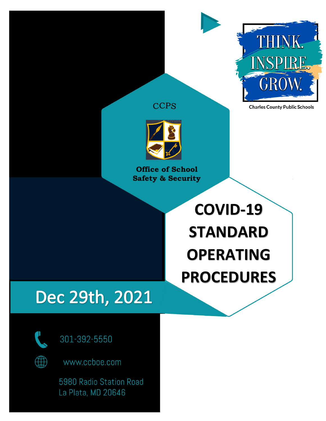

**Charles County Public Schools** 





**Office of School Safety & Security**

# **COVID-19 STANDARD OPERATING PROCEDURES**

## Dec 29th, 2021



301-392-5550

www.ccboe.com

5980 Radio Station Road La Plata, MD 20646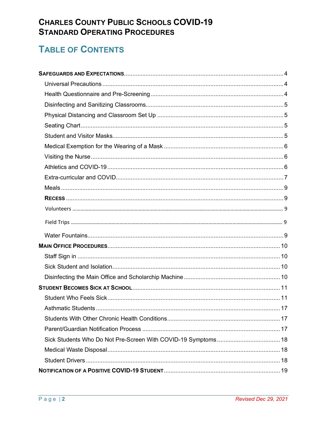### **CHARLES COUNTY PUBLIC SCHOOLS COVID-19 STANDARD OPERATING PROCEDURES**

### **TABLE OF CONTENTS**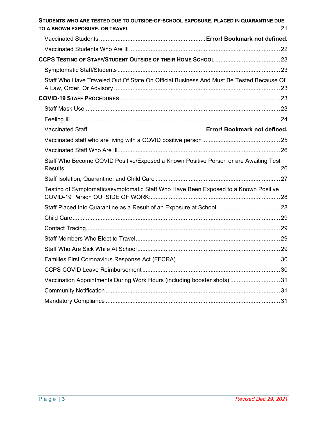| STUDENTS WHO ARE TESTED DUE TO OUTSIDE-OF-SCHOOL EXPOSURE, PLACED IN QUARANTINE DUE     |  |
|-----------------------------------------------------------------------------------------|--|
|                                                                                         |  |
|                                                                                         |  |
|                                                                                         |  |
|                                                                                         |  |
| Staff Who Have Traveled Out Of State On Official Business And Must Be Tested Because Of |  |
|                                                                                         |  |
|                                                                                         |  |
|                                                                                         |  |
|                                                                                         |  |
|                                                                                         |  |
|                                                                                         |  |
| Staff Who Become COVID Positive/Exposed a Known Positive Person or are Awaiting Test    |  |
|                                                                                         |  |
| Testing of Symptomatic/asymptomatic Staff Who Have Been Exposed to a Known Positive     |  |
|                                                                                         |  |
|                                                                                         |  |
|                                                                                         |  |
|                                                                                         |  |
|                                                                                         |  |
|                                                                                         |  |
|                                                                                         |  |
| Vaccination Appointments During Work Hours (including booster shots)  31                |  |
|                                                                                         |  |
|                                                                                         |  |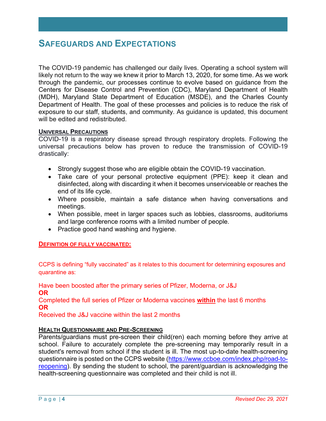### **SAFEGUARDS AND EXPECTATIONS**

The COVID-19 pandemic has challenged our daily lives. Operating a school system will likely not return to the way we knew it prior to March 13, 2020, for some time. As we work through the pandemic, our processes continue to evolve based on guidance from the Centers for Disease Control and Prevention (CDC), Maryland Department of Health (MDH), Maryland State Department of Education (MSDE), and the Charles County Department of Health. The goal of these processes and policies is to reduce the risk of exposure to our staff, students, and community. As guidance is updated, this document will be edited and redistributed.

### **UNIVERSAL PRECAUTIONS**

COVID-19 is a respiratory disease spread through respiratory droplets. Following the universal precautions below has proven to reduce the transmission of COVID-19 drastically:

- Strongly suggest those who are eligible obtain the COVID-19 vaccination.
- Take care of your personal protective equipment (PPE): keep it clean and disinfected, along with discarding it when it becomes unserviceable or reaches the end of its life cycle.
- Where possible, maintain a safe distance when having conversations and meetings.
- When possible, meet in larger spaces such as lobbies, classrooms, auditoriums and large conference rooms with a limited number of people.
- Practice good hand washing and hygiene.

#### **DEFINITION OF FULLY VACCINATED:**

CCPS is defining "fully vaccinated" as it relates to this document for determining exposures and quarantine as:

Have been boosted after the primary series of Pfizer, Moderna, or J&J **OR**

Completed the full series of Pfizer or Moderna vaccines **within** the last 6 months **OR**

Received the J&J vaccine within the last 2 months

#### **HEALTH QUESTIONNAIRE AND PRE-SCREENING**

Parents/guardians must pre-screen their child(ren) each morning before they arrive at school. Failure to accurately complete the pre-screening may temporarily result in a student's removal from school if the student is ill. The most up-to-date health-screening questionnaire is posted on the CCPS website (https://www.ccboe.com/index.php/road-toreopening). By sending the student to school, the parent/guardian is acknowledging the health-screening questionnaire was completed and their child is not ill.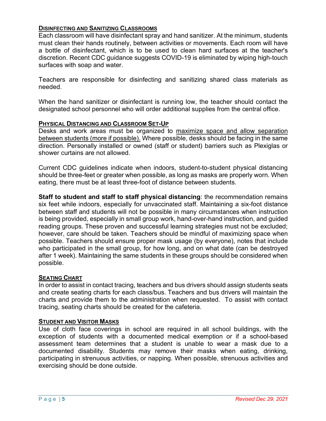### **DISINFECTING AND SANITIZING CLASSROOMS**

Each classroom will have disinfectant spray and hand sanitizer. At the minimum, students must clean their hands routinely, between activities or movements. Each room will have a bottle of disinfectant, which is to be used to clean hard surfaces at the teacher's discretion. Recent CDC guidance suggests COVID-19 is eliminated by wiping high-touch surfaces with soap and water.

Teachers are responsible for disinfecting and sanitizing shared class materials as needed.

When the hand sanitizer or disinfectant is running low, the teacher should contact the designated school personnel who will order additional supplies from the central office.

### **PHYSICAL DISTANCING AND CLASSROOM SET-UP**

Desks and work areas must be organized to maximize space and allow separation between students (more if possible). Where possible, desks should be facing in the same direction. Personally installed or owned (staff or student) barriers such as Plexiglas or shower curtains are not allowed.

Current CDC guidelines indicate when indoors, student-to-student physical distancing should be three-feet or greater when possible, as long as masks are properly worn. When eating, there must be at least three-foot of distance between students.

**Staff to student and staff to staff physical distancing**: the recommendation remains six feet while indoors, especially for unvaccinated staff. Maintaining a six-foot distance between staff and students will not be possible in many circumstances when instruction is being provided, especially in small group work, hand-over-hand instruction, and guided reading groups. These proven and successful learning strategies must not be excluded; however, care should be taken. Teachers should be mindful of maximizing space when possible. Teachers should ensure proper mask usage (by everyone), notes that include who participated in the small group, for how long, and on what date (can be destroyed after 1 week). Maintaining the same students in these groups should be considered when possible.

### **SEATING CHART**

In order to assist in contact tracing, teachers and bus drivers should assign students seats and create seating charts for each class/bus. Teachers and bus drivers will maintain the charts and provide them to the administration when requested. To assist with contact tracing, seating charts should be created for the cafeteria.

### **STUDENT AND VISITOR MASKS**

Use of cloth face coverings in school are required in all school buildings, with the exception of students with a documented medical exemption or if a school-based assessment team determines that a student is unable to wear a mask due to a documented disability. Students may remove their masks when eating, drinking, participating in strenuous activities, or napping. When possible, strenuous activities and exercising should be done outside.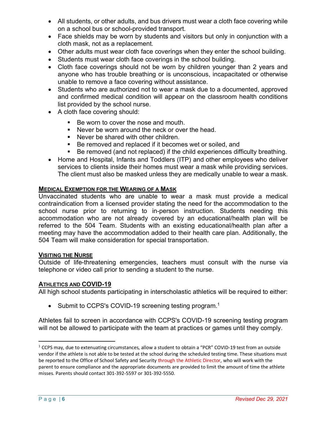- All students, or other adults, and bus drivers must wear a cloth face covering while on a school bus or school-provided transport.
- Face shields may be worn by students and visitors but only in conjunction with a cloth mask, not as a replacement.
- Other adults must wear cloth face coverings when they enter the school building.
- Students must wear cloth face coverings in the school building.
- Cloth face coverings should not be worn by children younger than 2 years and anyone who has trouble breathing or is unconscious, incapacitated or otherwise unable to remove a face covering without assistance.
- Students who are authorized not to wear a mask due to a documented, approved and confirmed medical condition will appear on the classroom health conditions list provided by the school nurse.
- A cloth face covering should:
	- Be worn to cover the nose and mouth.
	- Never be worn around the neck or over the head.
	- Never be shared with other children.
	- Be removed and replaced if it becomes wet or soiled, and
	- Be removed (and not replaced) if the child experiences difficulty breathing.
- Home and Hospital, Infants and Toddlers (ITP) and other employees who deliver services to clients inside their homes must wear a mask while providing services. The client must also be masked unless they are medically unable to wear a mask.

### **MEDICAL EXEMPTION FOR THE WEARING OF A MASK**

Unvaccinated students who are unable to wear a mask must provide a medical contraindication from a licensed provider stating the need for the accommodation to the school nurse prior to returning to in-person instruction. Students needing this accommodation who are not already covered by an educational/health plan will be referred to the 504 Team. Students with an existing educational/health plan after a meeting may have the accommodation added to their health care plan. Additionally, the 504 Team will make consideration for special transportation.

#### **VISITING THE NURSE**

Outside of life-threatening emergencies, teachers must consult with the nurse via telephone or video call prior to sending a student to the nurse.

### **ATHLETICS AND COVID-19**

All high school students participating in interscholastic athletics will be required to either:

• Submit to CCPS's COVID-19 screening testing program.<sup>1</sup>

Athletes fail to screen in accordance with CCPS's COVID-19 screening testing program will not be allowed to participate with the team at practices or games until they comply.

 $1$  CCPS may, due to extenuating circumstances, allow a student to obtain a "PCR" COVID-19 test from an outside vendor if the athlete is not able to be tested at the school during the scheduled testing time. These situations must be reported to the Office of School Safety and Security through the Athletic Director, who will work with the parent to ensure compliance and the appropriate documents are provided to limit the amount of time the athlete misses. Parents should contact 301-392-5597 or 301-392-5550.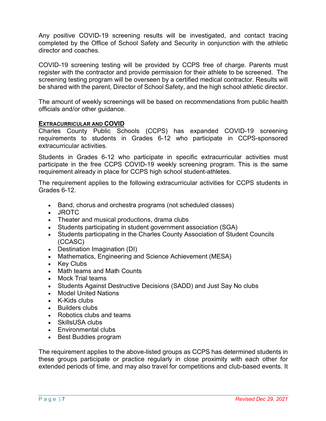Any positive COVID-19 screening results will be investigated, and contact tracing completed by the Office of School Safety and Security in conjunction with the athletic director and coaches.

COVID-19 screening testing will be provided by CCPS free of charge. Parents must register with the contractor and provide permission for their athlete to be screened. The screening testing program will be overseen by a certified medical contractor. Results will be shared with the parent, Director of School Safety, and the high school athletic director.

The amount of weekly screenings will be based on recommendations from public health officials and/or other guidance.

### **EXTRACURRICULAR AND COVID**

Charles County Public Schools (CCPS) has expanded COVID-19 screening requirements to students in Grades 6-12 who participate in CCPS-sponsored extracurricular activities.

Students in Grades 6-12 who participate in specific extracurricular activities must participate in the free CCPS COVID-19 weekly screening program. This is the same requirement already in place for CCPS high school student-athletes.

The requirement applies to the following extracurricular activities for CCPS students in Grades 6-12.

- Band, chorus and orchestra programs (not scheduled classes)
- JROTC
- Theater and musical productions, drama clubs
- Students participating in student government association (SGA)
- Students participating in the Charles County Association of Student Councils (CCASC)
- Destination Imagination (DI)
- Mathematics, Engineering and Science Achievement (MESA)
- Key Clubs
- Math teams and Math Counts
- Mock Trial teams
- Students Against Destructive Decisions (SADD) and Just Say No clubs
- Model United Nations
- K-Kids clubs
- Builders clubs
- Robotics clubs and teams
- SkillsUSA clubs
- Environmental clubs
- Best Buddies program

The requirement applies to the above-listed groups as CCPS has determined students in these groups participate or practice regularly in close proximity with each other for extended periods of time, and may also travel for competitions and club-based events. It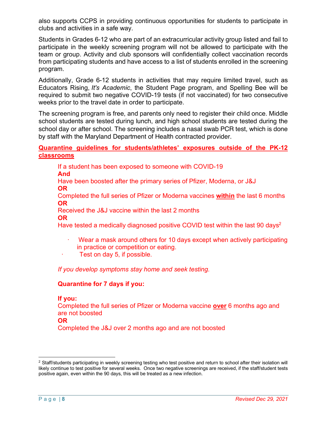also supports CCPS in providing continuous opportunities for students to participate in clubs and activities in a safe way.

Students in Grades 6-12 who are part of an extracurricular activity group listed and fail to participate in the weekly screening program will not be allowed to participate with the team or group. Activity and club sponsors will confidentially collect vaccination records from participating students and have access to a list of students enrolled in the screening program.

Additionally, Grade 6-12 students in activities that may require limited travel, such as Educators Rising, *It's Academic*, the Student Page program, and Spelling Bee will be required to submit two negative COVID-19 tests (if not vaccinated) for two consecutive weeks prior to the travel date in order to participate.

The screening program is free, and parents only need to register their child once. Middle school students are tested during lunch, and high school students are tested during the school day or after school. The screening includes a nasal swab PCR test, which is done by staff with the Maryland Department of Health contracted provider.

### **Quarantine guidelines for students/athletes' exposures outside of the PK-12 classrooms**

If a student has been exposed to someone with COVID-19 **And** Have been boosted after the primary series of Pfizer, Moderna, or J&J **OR**

Completed the full series of Pfizer or Moderna vaccines **within** the last 6 months **OR**

Received the J&J vaccine within the last 2 months **OR**

Have tested a medically diagnosed positive COVID test within the last 90 days<sup>2</sup>

- · Wear a mask around others for 10 days except when actively participating in practice or competition or eating.
- Test on day 5, if possible.

*If you develop symptoms stay home and seek testing.*

### **Quarantine for 7 days if you:**

**If you:**

Completed the full series of Pfizer or Moderna vaccine **over** 6 months ago and are not boosted

Completed the J&J over 2 months ago and are not boosted

 $\overline{a}$ 

**OR**

<sup>&</sup>lt;sup>2</sup> Staff/students participating in weekly screening testing who test positive and return to school after their isolation will likely continue to test positive for several weeks. Once two negative screenings are received, if the staff/student tests positive again, even within the 90 days, this will be treated as a new infection.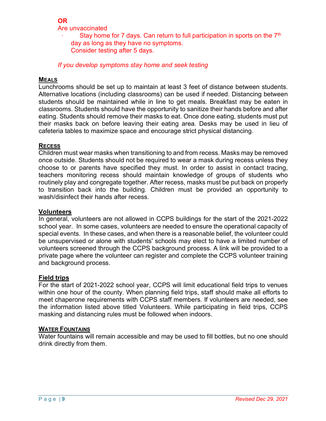### **OR**

Are unvaccinated

Stay home for 7 days. Can return to full participation in sports on the  $7<sup>th</sup>$ day as long as they have no symptoms. Consider testing after 5 days.

*If you develop symptoms stay home and seek testing*

### **MEALS**

Lunchrooms should be set up to maintain at least 3 feet of distance between students. Alternative locations (including classrooms) can be used if needed. Distancing between students should be maintained while in line to get meals. Breakfast may be eaten in classrooms. Students should have the opportunity to sanitize their hands before and after eating. Students should remove their masks to eat. Once done eating, students must put their masks back on before leaving their eating area. Desks may be used in lieu of cafeteria tables to maximize space and encourage strict physical distancing.

### **RECESS**

Children must wear masks when transitioning to and from recess. Masks may be removed once outside. Students should not be required to wear a mask during recess unless they choose to or parents have specified they must. In order to assist in contact tracing, teachers monitoring recess should maintain knowledge of groups of students who routinely play and congregate together. After recess, masks must be put back on properly to transition back into the building. Children must be provided an opportunity to wash/disinfect their hands after recess.

### **Volunteers**

In general, volunteers are not allowed in CCPS buildings for the start of the 2021-2022 school year. In some cases, volunteers are needed to ensure the operational capacity of special events. In these cases, and when there is a reasonable belief, the volunteer could be unsupervised or alone with students' schools may elect to have a limited number of volunteers screened through the CCPS background process. A link will be provided to a private page where the volunteer can register and complete the CCPS volunteer training and background process.

### **Field trips**

For the start of 2021-2022 school year, CCPS will limit educational field trips to venues within one hour of the county. When planning field trips, staff should make all efforts to meet chaperone requirements with CCPS staff members. If volunteers are needed, see the information listed above titled Volunteers. While participating in field trips, CCPS masking and distancing rules must be followed when indoors.

### **WATER FOUNTAINS**

Water fountains will remain accessible and may be used to fill bottles, but no one should drink directly from them.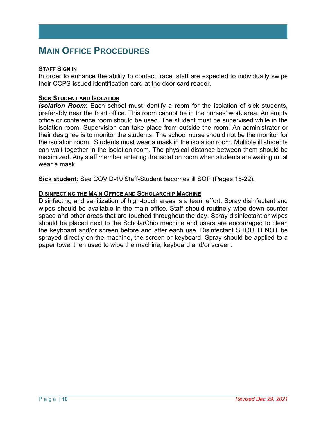### **MAIN OFFICE PROCEDURES**

### **STAFF SIGN IN**

In order to enhance the ability to contact trace, staff are expected to individually swipe their CCPS-issued identification card at the door card reader.

### **SICK STUDENT AND ISOLATION**

*Isolation Room*: Each school must identify a room for the isolation of sick students, preferably near the front office. This room cannot be in the nurses' work area. An empty office or conference room should be used. The student must be supervised while in the isolation room. Supervision can take place from outside the room. An administrator or their designee is to monitor the students. The school nurse should not be the monitor for the isolation room. Students must wear a mask in the isolation room. Multiple ill students can wait together in the isolation room. The physical distance between them should be maximized. Any staff member entering the isolation room when students are waiting must wear a mask.

**Sick student**: See COVID-19 Staff-Student becomes ill SOP (Pages 15-22).

#### **DISINFECTING THE MAIN OFFICE AND SCHOLARCHIP MACHINE**

Disinfecting and sanitization of high-touch areas is a team effort. Spray disinfectant and wipes should be available in the main office. Staff should routinely wipe down counter space and other areas that are touched throughout the day. Spray disinfectant or wipes should be placed next to the ScholarChip machine and users are encouraged to clean the keyboard and/or screen before and after each use. Disinfectant SHOULD NOT be sprayed directly on the machine, the screen or keyboard. Spray should be applied to a paper towel then used to wipe the machine, keyboard and/or screen.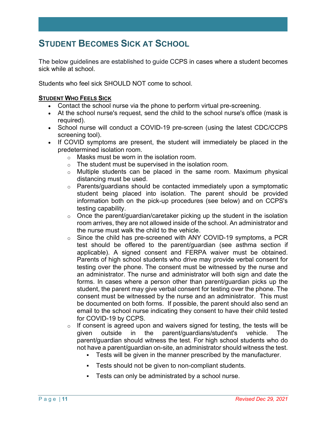### **STUDENT BECOMES SICK AT SCHOOL**

The below guidelines are established to guide CCPS in cases where a student becomes sick while at school.

Students who feel sick SHOULD NOT come to school.

### **STUDENT WHO FEELS SICK**

- Contact the school nurse via the phone to perform virtual pre-screening.
- At the school nurse's request, send the child to the school nurse's office (mask is required).
- School nurse will conduct a COVID-19 pre-screen (using the latest CDC/CCPS screening tool).
- If COVID symptoms are present, the student will immediately be placed in the predetermined isolation room.
	- o Masks must be worn in the isolation room.
	- o The student must be supervised in the isolation room.
	- $\circ$  Multiple students can be placed in the same room. Maximum physical distancing must be used.
	- $\circ$  Parents/guardians should be contacted immediately upon a symptomatic student being placed into isolation. The parent should be provided information both on the pick-up procedures (see below) and on CCPS's testing capability.
	- o Once the parent/guardian/caretaker picking up the student in the isolation room arrives, they are not allowed inside of the school. An administrator and the nurse must walk the child to the vehicle.
	- o Since the child has pre-screened with ANY COVID-19 symptoms, a PCR test should be offered to the parent/guardian (see asthma section if applicable). A signed consent and FERPA waiver must be obtained. Parents of high school students who drive may provide verbal consent for testing over the phone. The consent must be witnessed by the nurse and an administrator. The nurse and administrator will both sign and date the forms. In cases where a person other than parent/guardian picks up the student, the parent may give verbal consent for testing over the phone. The consent must be witnessed by the nurse and an administrator. This must be documented on both forms. If possible, the parent should also send an email to the school nurse indicating they consent to have their child tested for COVID-19 by CCPS.
	- $\circ$  If consent is agreed upon and waivers signed for testing, the tests will be given outside in the parent/guardians/student's vehicle. The parent/guardian should witness the test. For high school students who do not have a parent/guardian on-site, an administrator should witness the test.
		- Tests will be given in the manner prescribed by the manufacturer.
		- Tests should not be given to non-compliant students.
		- § Tests can only be administrated by a school nurse.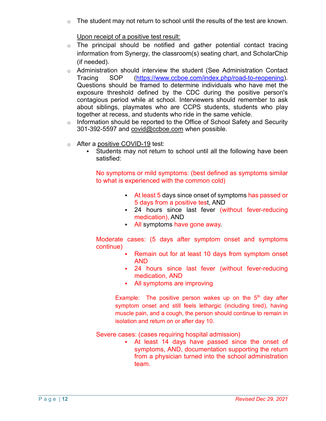$\circ$  The student may not return to school until the results of the test are known.

### Upon receipt of a positive test result:

- o The principal should be notified and gather potential contact tracing information from Synergy, the classroom(s) seating chart, and ScholarChip (if needed).
- o Administration should interview the student (See Administration Contact Tracing SOP (https://www.ccboe.com/index.php/road-to-reopening). Questions should be framed to determine individuals who have met the exposure threshold defined by the CDC during the positive person's contagious period while at school. Interviewers should remember to ask about siblings, playmates who are CCPS students, students who play together at recess, and students who ride in the same vehicle.
- o Information should be reported to the Office of School Safety and Security 301-392-5597 and covid@ccboe.com when possible.
- o After a positive COVID-19 test:
	- Students may not return to school until all the following have been satisfied:

No symptoms or mild symptoms: (best defined as symptoms similar to what is experienced with the common cold)

- At least 5 days since onset of symptoms has passed or 5 days from a positive test, AND
- 24 hours since last fever (without fever-reducing medication), AND
- All symptoms have gone away.

Moderate cases: (5 days after symptom onset and symptoms continue)

- Remain out for at least 10 days from symptom onset AND
- 24 hours since last fever (without fever-reducing medication, AND
- All symptoms are improving

Example: The positive person wakes up on the  $5<sup>th</sup>$  day after symptom onset and still feels lethargic (including tired), having muscle pain, and a cough, the person should continue to remain in isolation and return on or after day 10.

Severe cases: (cases requiring hospital admission)

At least 14 days have passed since the onset of symptoms, AND, documentation supporting the return from a physician turned into the school administration team.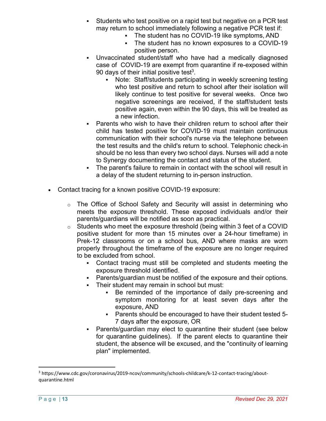- § Students who test positive on a rapid test but negative on a PCR test may return to school immediately following a negative PCR test if:
	- The student has no COVID-19 like symptoms, AND
	- The student has no known exposures to a COVID-19 positive person.
- Unvaccinated student/staff who have had a medically diagnosed case of COVID-19 are exempt from quarantine if re-exposed within 90 days of their initial positive test<sup>3</sup>.
	- Note: Staff/students participating in weekly screening testing who test positive and return to school after their isolation will likely continue to test positive for several weeks. Once two negative screenings are received, if the staff/student tests positive again, even within the 90 days, this will be treated as a new infection.
- Parents who wish to have their children return to school after their child has tested positive for COVID-19 must maintain continuous communication with their school's nurse via the telephone between the test results and the child's return to school. Telephonic check-in should be no less than every two school days. Nurses will add a note to Synergy documenting the contact and status of the student.
- The parent's failure to remain in contact with the school will result in a delay of the student returning to in-person instruction.
- Contact tracing for a known positive COVID-19 exposure:
	- $\circ$  The Office of School Safety and Security will assist in determining who meets the exposure threshold. These exposed individuals and/or their parents/guardians will be notified as soon as practical.
	- o Students who meet the exposure threshold (being within 3 feet of a COVID positive student for more than 15 minutes over a 24-hour timeframe) in Prek-12 classrooms or on a school bus, AND where masks are worn properly throughout the timeframe of the exposure are no longer required to be excluded from school.
		- Contact tracing must still be completed and students meeting the exposure threshold identified.
		- Parents/guardian must be notified of the exposure and their options.
		- Their student may remain in school but must:
			- Be reminded of the importance of daily pre-screening and symptom monitoring for at least seven days after the exposure, AND
			- § Parents should be encouraged to have their student tested 5- 7 days after the exposure, OR
		- Parents/guardian may elect to quarantine their student (see below for quarantine guidelines). If the parent elects to quarantine their student, the absence will be excused, and the "continuity of learning plan" implemented.

 <sup>3</sup> https://www.cdc.gov/coronavirus/2019-ncov/community/schools-childcare/k-12-contact-tracing/aboutquarantine.html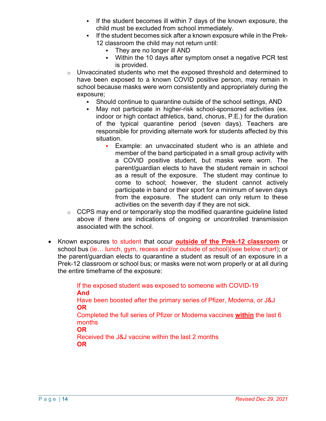- If the student becomes ill within 7 days of the known exposure, the child must be excluded from school immediately.
- If the student becomes sick after a known exposure while in the Prek-12 classroom the child may not return until:
	- They are no longer ill AND
	- Within the 10 days after symptom onset a negative PCR test is provided.
- o Unvaccinated students who met the exposed threshold and determined to have been exposed to a known COVID positive person, may remain in school because masks were worn consistently and appropriately during the exposure;
	- Should continue to quarantine outside of the school settings, AND
	- May not participate in higher-risk school-sponsored activities (ex. indoor or high contact athletics, band, chorus, P.E.) for the duration of the typical quarantine period (seven days). Teachers are responsible for providing alternate work for students affected by this situation.
		- Example: an unvaccinated student who is an athlete and member of the band participated in a small group activity with a COVID positive student, but masks were worn. The parent/guardian elects to have the student remain in school as a result of the exposure. The student may continue to come to school; however, the student cannot actively participate in band or their sport for a minimum of seven days from the exposure. The student can only return to these activities on the seventh day if they are not sick.
- o CCPS may end or temporarily stop the modified quarantine guideline listed above if there are indications of ongoing or uncontrolled transmission associated with the school.
- Known exposures to student that occur **outside of the Prek-12 classroom** or school bus (ie… lunch, gym, recess and/or outside of school)(see below chart); or the parent/guardian elects to quarantine a student as result of an exposure in a Prek-12 classroom or school bus; or masks were not worn properly or at all during the entire timeframe of the exposure:

If the exposed student was exposed to someone with COVID-19 **And** Have been boosted after the primary series of Pfizer, Moderna, or J&J **OR** Completed the full series of Pfizer or Moderna vaccines **within** the last 6 months **OR** Received the J&J vaccine within the last 2 months **OR**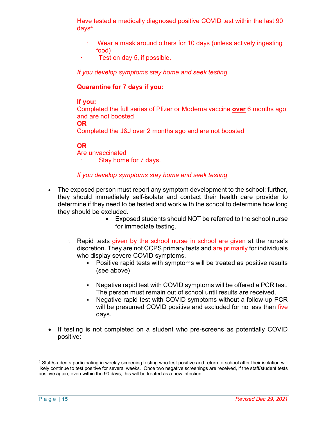Have tested a medically diagnosed positive COVID test within the last 90  $d$ ays<sup>4</sup>

- Wear a mask around others for 10 days (unless actively ingesting food)
- Test on day 5, if possible.

*If you develop symptoms stay home and seek testing.*

### **Quarantine for 7 days if you:**

### **If you:**

Completed the full series of Pfizer or Moderna vaccine **over** 6 months ago and are not boosted

**OR**

Completed the J&J over 2 months ago and are not boosted

### **OR**

Are unvaccinated

Stay home for 7 days.

### *If you develop symptoms stay home and seek testing*

- The exposed person must report any symptom development to the school; further, they should immediately self-isolate and contact their health care provider to determine if they need to be tested and work with the school to determine how long they should be excluded.
	- § Exposed students should NOT be referred to the school nurse for immediate testing.
	- $\circ$  Rapid tests given by the school nurse in school are given at the nurse's discretion. They are not CCPS primary tests and are primarily for individuals who display severe COVID symptoms.
		- Positive rapid tests with symptoms will be treated as positive results (see above)
		- Negative rapid test with COVID symptoms will be offered a PCR test. The person must remain out of school until results are received.
		- § Negative rapid test with COVID symptoms without a follow-up PCR will be presumed COVID positive and excluded for no less than five days.
- If testing is not completed on a student who pre-screens as potentially COVID positive:

 $\overline{a}$ <sup>4</sup> Staff/students participating in weekly screening testing who test positive and return to school after their isolation will likely continue to test positive for several weeks. Once two negative screenings are received, if the staff/student tests positive again, even within the 90 days, this will be treated as a new infection.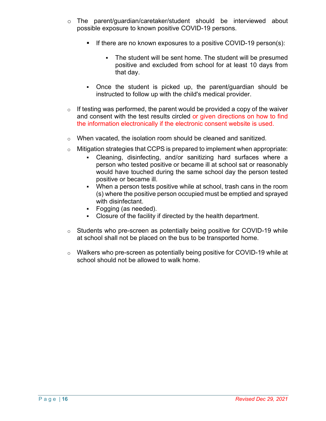- o The parent/guardian/caretaker/student should be interviewed about possible exposure to known positive COVID-19 persons.
	- If there are no known exposures to a positive COVID-19 person(s):
		- The student will be sent home. The student will be presumed positive and excluded from school for at least 10 days from that day.
	- Once the student is picked up, the parent/guardian should be instructed to follow up with the child's medical provider.
- $\circ$  If testing was performed, the parent would be provided a copy of the waiver and consent with the test results circled or given directions on how to find the information electronically if the electronic consent website is used.
- $\circ$  When vacated, the isolation room should be cleaned and sanitized.
- o Mitigation strategies that CCPS is prepared to implement when appropriate:
	- § Cleaning, disinfecting, and/or sanitizing hard surfaces where a person who tested positive or became ill at school sat or reasonably would have touched during the same school day the person tested positive or became ill.
	- When a person tests positive while at school, trash cans in the room (s) where the positive person occupied must be emptied and sprayed with disinfectant.
	- § Fogging (as needed).
	- Closure of the facility if directed by the health department.
- o Students who pre-screen as potentially being positive for COVID-19 while at school shall not be placed on the bus to be transported home.
- o Walkers who pre-screen as potentially being positive for COVID-19 while at school should not be allowed to walk home.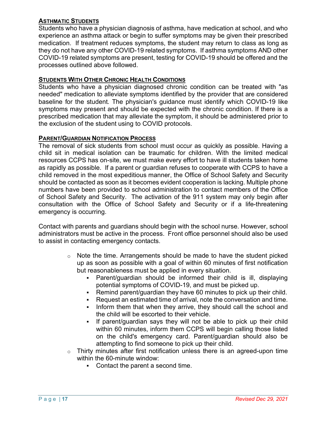### **ASTHMATIC STUDENTS**

Students who have a physician diagnosis of asthma, have medication at school, and who experience an asthma attack or begin to suffer symptoms may be given their prescribed medication. If treatment reduces symptoms, the student may return to class as long as they do not have any other COVID-19 related symptoms. If asthma symptoms AND other COVID-19 related symptoms are present, testing for COVID-19 should be offered and the processes outlined above followed.

### **STUDENTS WITH OTHER CHRONIC HEALTH CONDITIONS**

Students who have a physician diagnosed chronic condition can be treated with "as needed" medication to alleviate symptoms identified by the provider that are considered baseline for the student. The physician's guidance must identify which COVID-19 like symptoms may present and should be expected with the chronic condition. If there is a prescribed medication that may alleviate the symptom, it should be administered prior to the exclusion of the student using to COVID protocols.

### **PARENT/GUARDIAN NOTIFICATION PROCESS**

The removal of sick students from school must occur as quickly as possible. Having a child sit in medical isolation can be traumatic for children. With the limited medical resources CCPS has on-site, we must make every effort to have ill students taken home as rapidly as possible. If a parent or guardian refuses to cooperate with CCPS to have a child removed in the most expeditious manner, the Office of School Safety and Security should be contacted as soon as it becomes evident cooperation is lacking. Multiple phone numbers have been provided to school administration to contact members of the Office of School Safety and Security. The activation of the 911 system may only begin after consultation with the Office of School Safety and Security or if a life-threatening emergency is occurring.

Contact with parents and guardians should begin with the school nurse. However, school administrators must be active in the process. Front office personnel should also be used to assist in contacting emergency contacts.

- $\circ$  Note the time. Arrangements should be made to have the student picked up as soon as possible with a goal of within 60 minutes of first notification but reasonableness must be applied in every situation.
	- Parent/guardian should be informed their child is ill, displaying potential symptoms of COVID-19, and must be picked up.
	- Remind parent/guardian they have 60 minutes to pick up their child.
	- § Request an estimated time of arrival, note the conversation and time.
	- Inform them that when they arrive, they should call the school and the child will be escorted to their vehicle.
	- If parent/guardian says they will not be able to pick up their child within 60 minutes, inform them CCPS will begin calling those listed on the child's emergency card. Parent/guardian should also be attempting to find someone to pick up their child.
- o Thirty minutes after first notification unless there is an agreed-upon time within the 60-minute window:
	- Contact the parent a second time.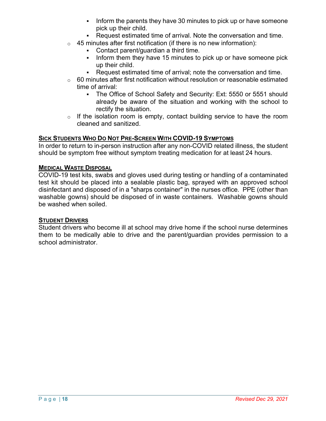- Inform the parents they have 30 minutes to pick up or have someone pick up their child.
- Request estimated time of arrival. Note the conversation and time.
- $\circ$  45 minutes after first notification (if there is no new information):
	- Contact parent/quardian a third time.
	- Inform them they have 15 minutes to pick up or have someone pick up their child.
	- Request estimated time of arrival; note the conversation and time.
- $\circ$  60 minutes after first notification without resolution or reasonable estimated time of arrival:
	- The Office of School Safety and Security: Ext: 5550 or 5551 should already be aware of the situation and working with the school to rectify the situation.
- $\circ$  If the isolation room is empty, contact building service to have the room cleaned and sanitized.

### **SICK STUDENTS WHO DO NOT PRE-SCREEN WITH COVID-19 SYMPTOMS**

In order to return to in-person instruction after any non-COVID related illness, the student should be symptom free without symptom treating medication for at least 24 hours.

### **MEDICAL WASTE DISPOSAL**

COVID-19 test kits, swabs and gloves used during testing or handling of a contaminated test kit should be placed into a sealable plastic bag, sprayed with an approved school disinfectant and disposed of in a "sharps container" in the nurses office. PPE (other than washable gowns) should be disposed of in waste containers. Washable gowns should be washed when soiled.

### **STUDENT DRIVERS**

Student drivers who become ill at school may drive home if the school nurse determines them to be medically able to drive and the parent/guardian provides permission to a school administrator.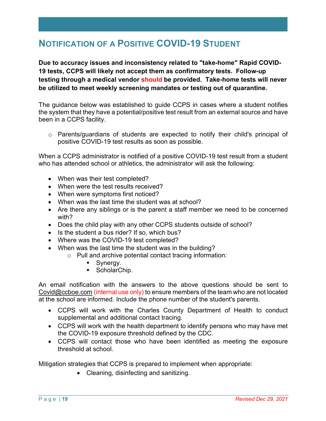### **NOTIFICATION OF A POSITIVE COVID-19 STUDENT**

**Due to accuracy issues and inconsistency related to "take-home" Rapid COVID-19 tests, CCPS will likely not accept them as confirmatory tests. Follow-up testing through a medical vendor should be provided. Take-home tests will never be utilized to meet weekly screening mandates or testing out of quarantine.**

The guidance below was established to guide CCPS in cases where a student notifies the system that they have a potential/positive test result from an external source and have been in a CCPS facility.

o Parents/guardians of students are expected to notify their child's principal of positive COVID-19 test results as soon as possible.

When a CCPS administrator is notified of a positive COVID-19 test result from a student who has attended school or athletics, the administrator will ask the following:

- When was their test completed?
- When were the test results received?
- When were symptoms first noticed?
- When was the last time the student was at school?
- Are there any siblings or is the parent a staff member we need to be concerned with?
- Does the child play with any other CCPS students outside of school?
- Is the student a bus rider? If so, which bus?
- Where was the COVID-19 test completed?
- When was the last time the student was in the building?
	- o Pull and archive potential contact tracing information:
		- Synergy.
		- ScholarChip.

An email notification with the answers to the above questions should be sent to Covid@ccboe.com (internal use only) to ensure members of the team who are not located at the school are informed. Include the phone number of the student's parents.

- CCPS will work with the Charles County Department of Health to conduct supplemental and additional contact tracing.
- CCPS will work with the health department to identify persons who may have met the COVID-19 exposure threshold defined by the CDC.
- CCPS will contact those who have been identified as meeting the exposure threshold at school.

Mitigation strategies that CCPS is prepared to implement when appropriate:

• Cleaning, disinfecting and sanitizing.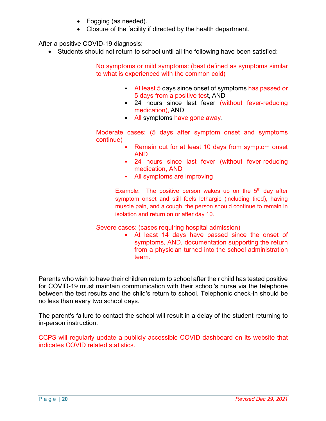- Fogging (as needed).
- Closure of the facility if directed by the health department.

After a positive COVID-19 diagnosis:

• Students should not return to school until all the following have been satisfied:

No symptoms or mild symptoms: (best defined as symptoms similar to what is experienced with the common cold)

- At least 5 days since onset of symptoms has passed or 5 days from a positive test, AND
- 24 hours since last fever (without fever-reducing medication), AND
- All symptoms have gone away.

Moderate cases: (5 days after symptom onset and symptoms continue)

- Remain out for at least 10 days from symptom onset AND
- § 24 hours since last fever (without fever-reducing medication, AND
- All symptoms are improving

Example: The positive person wakes up on the  $5<sup>th</sup>$  day after symptom onset and still feels lethargic (including tired), having muscle pain, and a cough, the person should continue to remain in isolation and return on or after day 10.

### Severe cases: (cases requiring hospital admission)

At least 14 days have passed since the onset of symptoms, AND, documentation supporting the return from a physician turned into the school administration team.

Parents who wish to have their children return to school after their child has tested positive for COVID-19 must maintain communication with their school's nurse via the telephone between the test results and the child's return to school. Telephonic check-in should be no less than every two school days.

The parent's failure to contact the school will result in a delay of the student returning to in-person instruction.

CCPS will regularly update a publicly accessible COVID dashboard on its website that indicates COVID related statistics.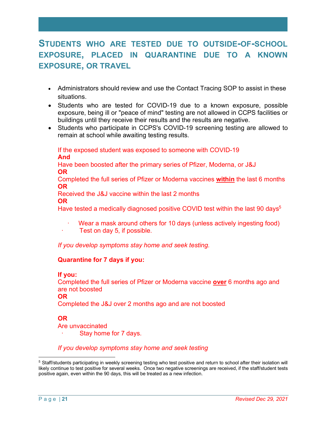### **STUDENTS WHO ARE TESTED DUE TO OUTSIDE-OF-SCHOOL EXPOSURE, PLACED IN QUARANTINE DUE TO A KNOWN EXPOSURE, OR TRAVEL**

- Administrators should review and use the Contact Tracing SOP to assist in these situations.
- Students who are tested for COVID-19 due to a known exposure, possible exposure, being ill or "peace of mind" testing are not allowed in CCPS facilities or buildings until they receive their results and the results are negative.
- Students who participate in CCPS's COVID-19 screening testing are allowed to remain at school while awaiting testing results.

If the exposed student was exposed to someone with COVID-19 **And**

Have been boosted after the primary series of Pfizer, Moderna, or J&J **OR**

Completed the full series of Pfizer or Moderna vaccines **within** the last 6 months **OR**

Received the J&J vaccine within the last 2 months

#### **OR**

Have tested a medically diagnosed positive COVID test within the last 90 days<sup>5</sup>

- Wear a mask around others for 10 days (unless actively ingesting food)
- Test on day 5, if possible.

*If you develop symptoms stay home and seek testing.*

### **Quarantine for 7 days if you:**

### **If you:**

Completed the full series of Pfizer or Moderna vaccine **over** 6 months ago and are not boosted

**OR**

Completed the J&J over 2 months ago and are not boosted

### **OR**

Are unvaccinated Stay home for 7 days.

*If you develop symptoms stay home and seek testing*

 $\overline{a}$ <sup>5</sup> Staff/students participating in weekly screening testing who test positive and return to school after their isolation will likely continue to test positive for several weeks. Once two negative screenings are received, if the staff/student tests positive again, even within the 90 days, this will be treated as a new infection.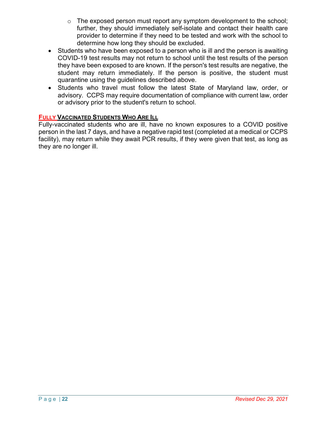- $\circ$  The exposed person must report any symptom development to the school; further, they should immediately self-isolate and contact their health care provider to determine if they need to be tested and work with the school to determine how long they should be excluded.
- Students who have been exposed to a person who is ill and the person is awaiting COVID-19 test results may not return to school until the test results of the person they have been exposed to are known. If the person's test results are negative, the student may return immediately. If the person is positive, the student must quarantine using the guidelines described above.
- Students who travel must follow the latest State of Maryland law, order, or advisory. CCPS may require documentation of compliance with current law, order or advisory prior to the student's return to school.

### **FULLY VACCINATED STUDENTS WHO ARE ILL**

Fully-vaccinated students who are ill, have no known exposures to a COVID positive person in the last 7 days, and have a negative rapid test (completed at a medical or CCPS facility), may return while they await PCR results, if they were given that test, as long as they are no longer ill.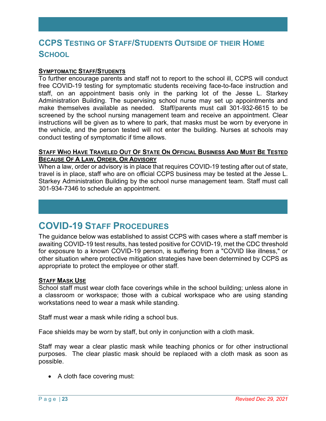### **CCPS TESTING OF STAFF/STUDENTS OUTSIDE OF THEIR HOME SCHOOL**

### **SYMPTOMATIC STAFF/STUDENTS**

To further encourage parents and staff not to report to the school ill, CCPS will conduct free COVID-19 testing for symptomatic students receiving face-to-face instruction and staff, on an appointment basis only in the parking lot of the Jesse L. Starkey Administration Building. The supervising school nurse may set up appointments and make themselves available as needed. Staff/parents must call 301-932-6615 to be screened by the school nursing management team and receive an appointment. Clear instructions will be given as to where to park, that masks must be worn by everyone in the vehicle, and the person tested will not enter the building. Nurses at schools may conduct testing of symptomatic if time allows.

### **STAFF WHO HAVE TRAVELED OUT OF STATE ON OFFICIAL BUSINESS AND MUST BE TESTED BECAUSE OF A LAW, ORDER, OR ADVISORY**

When a law, order or advisory is in place that requires COVID-19 testing after out of state, travel is in place, staff who are on official CCPS business may be tested at the Jesse L. Starkey Administration Building by the school nurse management team. Staff must call 301-934-7346 to schedule an appointment.

### **COVID-19 STAFF PROCEDURES**

The guidance below was established to assist CCPS with cases where a staff member is awaiting COVID-19 test results, has tested positive for COVID-19, met the CDC threshold for exposure to a known COVID-19 person, is suffering from a "COVID like illness," or other situation where protective mitigation strategies have been determined by CCPS as appropriate to protect the employee or other staff.

#### **STAFF MASK USE**

School staff must wear cloth face coverings while in the school building; unless alone in a classroom or workspace; those with a cubical workspace who are using standing workstations need to wear a mask while standing.

Staff must wear a mask while riding a school bus.

Face shields may be worn by staff, but only in conjunction with a cloth mask.

Staff may wear a clear plastic mask while teaching phonics or for other instructional purposes. The clear plastic mask should be replaced with a cloth mask as soon as possible.

• A cloth face covering must: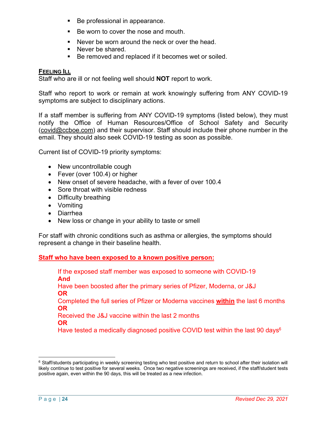- Be professional in appearance.
- Be worn to cover the nose and mouth.
- Never be worn around the neck or over the head.
- Never be shared.
- Be removed and replaced if it becomes wet or soiled.

### **FEELING ILL**

Staff who are ill or not feeling well should **NOT** report to work.

Staff who report to work or remain at work knowingly suffering from ANY COVID-19 symptoms are subject to disciplinary actions.

If a staff member is suffering from ANY COVID-19 symptoms (listed below), they must notify the Office of Human Resources/Office of School Safety and Security (covid@ccboe.com) and their supervisor. Staff should include their phone number in the email. They should also seek COVID-19 testing as soon as possible.

Current list of COVID-19 priority symptoms:

- New uncontrollable cough
- Fever (over 100.4) or higher
- New onset of severe headache, with a fever of over 100.4
- Sore throat with visible redness
- Difficulty breathing
- Vomiting
- Diarrhea
- New loss or change in your ability to taste or smell

For staff with chronic conditions such as asthma or allergies, the symptoms should represent a change in their baseline health.

### **Staff who have been exposed to a known positive person:**

If the exposed staff member was exposed to someone with COVID-19 **And** Have been boosted after the primary series of Pfizer, Moderna, or J&J **OR** Completed the full series of Pfizer or Moderna vaccines **within** the last 6 months **OR** Received the J&J vaccine within the last 2 months **OR** Have tested a medically diagnosed positive COVID test within the last 90 days<sup>6</sup>

 $\overline{a}$ 

<sup>&</sup>lt;sup>6</sup> Staff/students participating in weekly screening testing who test positive and return to school after their isolation will likely continue to test positive for several weeks. Once two negative screenings are received, if the staff/student tests positive again, even within the 90 days, this will be treated as a new infection.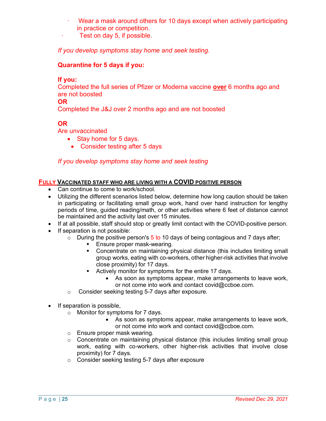- Wear a mask around others for 10 days except when actively participating in practice or competition.
- Test on day 5, if possible.

*If you develop symptoms stay home and seek testing.*

### **Quarantine for 5 days if you:**

### **If you:**

Completed the full series of Pfizer or Moderna vaccine **over** 6 months ago and are not boosted

### **OR**

Completed the J&J over 2 months ago and are not boosted

### **OR**

Are unvaccinated

- Stay home for 5 days.
	- Consider testing after 5 days

### *If you develop symptoms stay home and seek testing*

### **FULLY VACCINATED STAFF WHO ARE LIVING WITH A COVID POSITIVE PERSON**

- Can continue to come to work/school.
- Utilizing the different scenarios listed below, determine how long caution should be taken in participating or facilitating small group work, hand over hand instruction for lengthy periods of time, guided reading/math, or other activities where 6 feet of distance cannot be maintained and the activity last over 15 minutes.
- If at all possible, staff should stop or greatly limit contact with the COVID-positive person.
- If separation is not possible:
	- $\circ$  During the positive person's 5 to 10 days of being contagious and 7 days after;
		- Ensure proper mask-wearing.
		- § Concentrate on maintaining physical distance (this includes limiting small group works, eating with co-workers, other higher-risk activities that involve close proximity) for 17 days.
		- **•** Actively monitor for symptoms for the entire 17 days.
			- As soon as symptoms appear, make arrangements to leave work, or not come into work and contact covid@ccboe.com.
	- o Consider seeking testing 5-7 days after exposure.
- If separation is possible,
	- o Monitor for symptoms for 7 days.
		- As soon as symptoms appear, make arrangements to leave work, or not come into work and contact covid@ccboe.com.
	- o Ensure proper mask wearing.
	- o Concentrate on maintaining physical distance (this includes limiting small group work, eating with co-workers, other higher-risk activities that involve close proximity) for 7 days.
	- o Consider seeking testing 5-7 days after exposure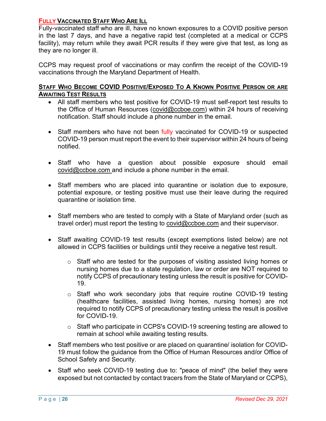### **FULLY VACCINATED STAFF WHO ARE ILL**

Fully-vaccinated staff who are ill, have no known exposures to a COVID positive person in the last 7 days, and have a negative rapid test (completed at a medical or CCPS facility), may return while they await PCR results if they were give that test, as long as they are no longer ill.

CCPS may request proof of vaccinations or may confirm the receipt of the COVID-19 vaccinations through the Maryland Department of Health.

### **STAFF WHO BECOME COVID POSITIVE/EXPOSED TO A KNOWN POSITIVE PERSON OR ARE AWAITING TEST RESULTS**

- All staff members who test positive for COVID-19 must self-report test results to the Office of Human Resources (covid@ccboe.com) within 24 hours of receiving notification. Staff should include a phone number in the email.
- Staff members who have not been fully vaccinated for COVID-19 or suspected COVID-19 person must report the event to their supervisor within 24 hours of being notified.
- Staff who have a question about possible exposure should email covid@ccboe.com and include a phone number in the email.
- Staff members who are placed into quarantine or isolation due to exposure, potential exposure, or testing positive must use their leave during the required quarantine or isolation time.
- Staff members who are tested to comply with a State of Maryland order (such as travel order) must report the testing to covid@ccboe.com and their supervisor.
- Staff awaiting COVID-19 test results (except exemptions listed below) are not allowed in CCPS facilities or buildings until they receive a negative test result.
	- o Staff who are tested for the purposes of visiting assisted living homes or nursing homes due to a state regulation, law or order are NOT required to notify CCPS of precautionary testing unless the result is positive for COVID-19.
	- o Staff who work secondary jobs that require routine COVID-19 testing (healthcare facilities, assisted living homes, nursing homes) are not required to notify CCPS of precautionary testing unless the result is positive for COVID-19.
	- o Staff who participate in CCPS's COVID-19 screening testing are allowed to remain at school while awaiting testing results.
- Staff members who test positive or are placed on quarantine/ isolation for COVID-19 must follow the guidance from the Office of Human Resources and/or Office of School Safety and Security.
- Staff who seek COVID-19 testing due to: "peace of mind" (the belief they were exposed but not contacted by contact tracers from the State of Maryland or CCPS),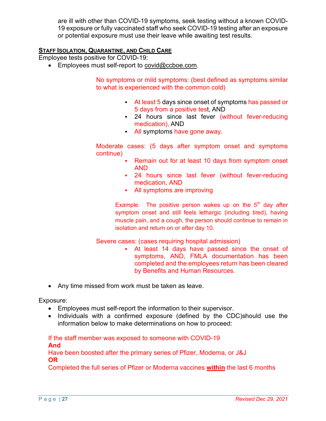are ill with other than COVID-19 symptoms, seek testing without a known COVID-19 exposure or fully vaccinated staff who seek COVID-19 testing after an exposure or potential exposure must use their leave while awaiting test results.

### **STAFF ISOLATION, QUARANTINE, AND CHILD CARE**

Employee tests positive for COVID-19:

• Employees must self-report to covid@ccboe.com.

No symptoms or mild symptoms: (best defined as symptoms similar to what is experienced with the common cold)

- At least 5 days since onset of symptoms has passed or 5 days from a positive test, AND
- 24 hours since last fever (without fever-reducing medication), AND
- All symptoms have gone away.

Moderate cases: (5 days after symptom onset and symptoms continue)

- Remain out for at least 10 days from symptom onset AND
- 24 hours since last fever (without fever-reducing medication, AND
- All symptoms are improving

Example: The positive person wakes up on the  $5<sup>th</sup>$  day after symptom onset and still feels lethargic (including tired), having muscle pain, and a cough, the person should continue to remain in isolation and return on or after day 10.

Severe cases: (cases requiring hospital admission)

- § At least 14 days have passed since the onset of symptoms, AND, FMLA documentation has been completed and the employees return has been cleared by Benefits and Human Resources.
- Any time missed from work must be taken as leave.

Exposure:

- Employees must self-report the information to their supervisor.
- Individuals with a confirmed exposure (defined by the CDC)should use the information below to make determinations on how to proceed:

If the staff member was exposed to someone with COVID-19 **And** Have been boosted after the primary series of Pfizer, Moderna, or J&J **OR**

Completed the full series of Pfizer or Moderna vaccines **within** the last 6 months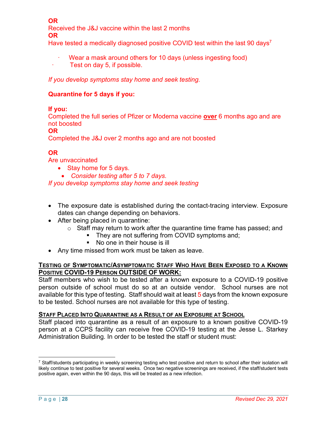**OR** Received the J&J vaccine within the last 2 months **OR**

Have tested a medically diagnosed positive COVID test within the last 90 days<sup>7</sup>

- Wear a mask around others for 10 days (unless ingesting food)
- · Test on day 5, if possible.

*If you develop symptoms stay home and seek testing.*

### **Quarantine for 5 days if you:**

### **If you:**

Completed the full series of Pfizer or Moderna vaccine **over** 6 months ago and are not boosted

**OR**

Completed the J&J over 2 months ago and are not boosted

### **OR**

Are unvaccinated

- Stay home for 5 days.
	- *Consider testing after 5 to 7 days.*

*If you develop symptoms stay home and seek testing*

- The exposure date is established during the contact-tracing interview. Exposure dates can change depending on behaviors.
- After being placed in quarantine:
	- o Staff may return to work after the quarantine time frame has passed; and
		- They are not suffering from COVID symptoms and;
			- No one in their house is ill
- Any time missed from work must be taken as leave.

### **TESTING OF SYMPTOMATIC/ASYMPTOMATIC STAFF WHO HAVE BEEN EXPOSED TO A KNOWN POSITIVE COVID-19 PERSON OUTSIDE OF WORK:**

Staff members who wish to be tested after a known exposure to a COVID-19 positive person outside of school must do so at an outside vendor. School nurses are not available for this type of testing. Staff should wait at least 5 days from the known exposure to be tested. School nurses are not available for this type of testing.

### **STAFF PLACED INTO QUARANTINE AS A RESULT OF AN EXPOSURE AT SCHOOL**

Staff placed into quarantine as a result of an exposure to a known positive COVID-19 person at a CCPS facility can receive free COVID-19 testing at the Jesse L. Starkey Administration Building. In order to be tested the staff or student must:

 $\overline{a}$  $7$  Staff/students participating in weekly screening testing who test positive and return to school after their isolation will likely continue to test positive for several weeks. Once two negative screenings are received, if the staff/student tests positive again, even within the 90 days, this will be treated as a new infection.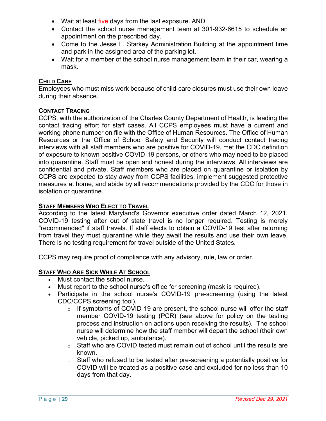- Wait at least five days from the last exposure. AND
- Contact the school nurse management team at 301-932-6615 to schedule an appointment on the prescribed day.
- Come to the Jesse L. Starkey Administration Building at the appointment time and park in the assigned area of the parking lot.
- Wait for a member of the school nurse management team in their car, wearing a mask.

### **CHILD CARE**

Employees who must miss work because of child-care closures must use their own leave during their absence.

### **CONTACT TRACING**

CCPS, with the authorization of the Charles County Department of Health, is leading the contact tracing effort for staff cases. All CCPS employees must have a current and working phone number on file with the Office of Human Resources. The Office of Human Resources or the Office of School Safety and Security will conduct contact tracing interviews with all staff members who are positive for COVID-19, met the CDC definition of exposure to known positive COVID-19 persons, or others who may need to be placed into quarantine. Staff must be open and honest during the interviews. All interviews are confidential and private. Staff members who are placed on quarantine or isolation by CCPS are expected to stay away from CCPS facilities, implement suggested protective measures at home, and abide by all recommendations provided by the CDC for those in isolation or quarantine.

### **STAFF MEMBERS WHO ELECT TO TRAVEL**

According to the latest Maryland's Governor executive order dated March 12, 2021, COVID-19 testing after out of state travel is no longer required. Testing is merely "recommended" if staff travels. If staff elects to obtain a COVID-19 test after returning from travel they must quarantine while they await the results and use their own leave. There is no testing requirement for travel outside of the United States.

CCPS may require proof of compliance with any advisory, rule, law or order.

### **STAFF WHO ARE SICK WHILE AT SCHOOL**

- Must contact the school nurse.
- Must report to the school nurse's office for screening (mask is required).
- Participate in the school nurse's COVID-19 pre-screening (using the latest CDC/CCPS screening tool).
	- o If symptoms of COVID-19 are present, the school nurse will offer the staff member COVID-19 testing (PCR) (see above for policy on the testing process and instruction on actions upon receiving the results). The school nurse will determine how the staff member will depart the school (their own vehicle, picked up, ambulance).
	- $\circ$  Staff who are COVID tested must remain out of school until the results are known.
	- $\circ$  Staff who refused to be tested after pre-screening a potentially positive for COVID will be treated as a positive case and excluded for no less than 10 days from that day.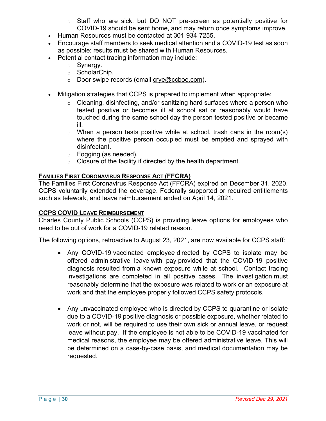- $\circ$  Staff who are sick, but DO NOT pre-screen as potentially positive for COVID-19 should be sent home, and may return once symptoms improve.
- Human Resources must be contacted at 301-934-7255.
- Encourage staff members to seek medical attention and a COVID-19 test as soon as possible; results must be shared with Human Resources.
- Potential contact tracing information may include:
	- o Synergy.
	- o ScholarChip.
	- $\circ$  Door swipe records (email crye@ccboe.com).
- Mitigation strategies that CCPS is prepared to implement when appropriate:
	- o Cleaning, disinfecting, and/or sanitizing hard surfaces where a person who tested positive or becomes ill at school sat or reasonably would have touched during the same school day the person tested positive or became ill.
	- $\circ$  When a person tests positive while at school, trash cans in the room(s) where the positive person occupied must be emptied and sprayed with disinfectant.
	- o Fogging (as needed).
	- $\circ$  Closure of the facility if directed by the health department.

### **FAMILIES FIRST CORONAVIRUS RESPONSE ACT (FFCRA)**

The Families First Coronavirus Response Act (FFCRA) expired on December 31, 2020. CCPS voluntarily extended the coverage. Federally supported or required entitlements such as telework, and leave reimbursement ended on April 14, 2021.

### **CCPS COVID LEAVE REIMBURSEMENT**

Charles County Public Schools (CCPS) is providing leave options for employees who need to be out of work for a COVID-19 related reason.

The following options, retroactive to August 23, 2021, are now available for CCPS staff:

- Any COVID-19 vaccinated employee directed by CCPS to isolate may be offered administrative leave with pay provided that the COVID-19 positive diagnosis resulted from a known exposure while at school. Contact tracing investigations are completed in all positive cases. The investigation must reasonably determine that the exposure was related to work or an exposure at work and that the employee properly followed CCPS safety protocols.
- Any unvaccinated employee who is directed by CCPS to quarantine or isolate due to a COVID-19 positive diagnosis or possible exposure, whether related to work or not, will be required to use their own sick or annual leave, or request leave without pay. If the employee is not able to be COVID-19 vaccinated for medical reasons, the employee may be offered administrative leave. This will be determined on a case-by-case basis, and medical documentation may be requested.